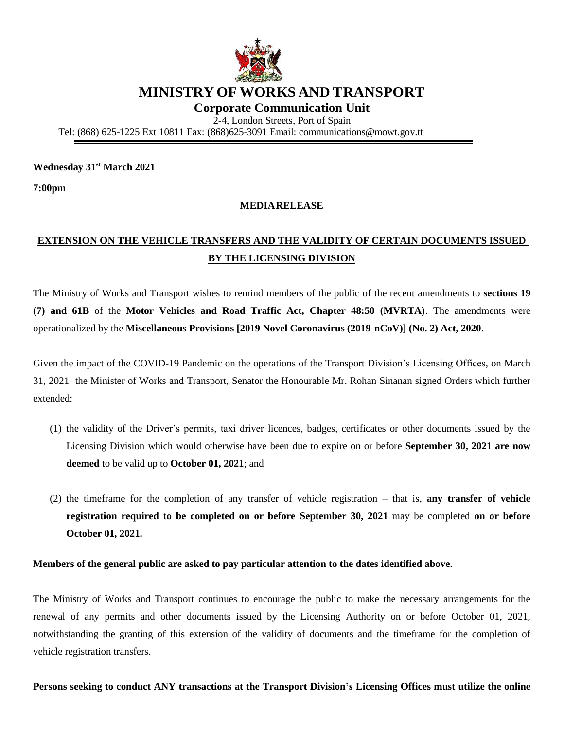

# **MINISTRY OF WORKS AND TRANSPORT**

**Corporate Communication Unit**

2-4, London Streets, Port of Spain

Tel: (868) 625-1225 Ext 10811 Fax: (868)625-3091 Email: [communications@mowt.gov.tt](mailto:communications@mowt.gov.tt)

#### **Wednesday 31st March 2021**

**7:00pm**

### **MEDIARELEASE**

## **EXTENSION ON THE VEHICLE TRANSFERS AND THE VALIDITY OF CERTAIN DOCUMENTS ISSUED BY THE LICENSING DIVISION**

The Ministry of Works and Transport wishes to remind members of the public of the recent amendments to **sections 19 (7) and 61B** of the **Motor Vehicles and Road Traffic Act, Chapter 48:50 (MVRTA)**. The amendments were operationalized by the **Miscellaneous Provisions [2019 Novel Coronavirus (2019-nCoV)] (No. 2) Act, 2020**.

Given the impact of the COVID-19 Pandemic on the operations of the Transport Division's Licensing Offices, on March 31, 2021 the Minister of Works and Transport, Senator the Honourable Mr. Rohan Sinanan signed Orders which further extended:

- (1) the validity of the Driver's permits, taxi driver licences, badges, certificates or other documents issued by the Licensing Division which would otherwise have been due to expire on or before **September 30, 2021 are now deemed** to be valid up to **October 01, 2021**; and
- (2) the timeframe for the completion of any transfer of vehicle registration that is, **any transfer of vehicle registration required to be completed on or before September 30, 2021** may be completed **on or before October 01, 2021.**

#### **Members of the general public are asked to pay particular attention to the dates identified above.**

The Ministry of Works and Transport continues to encourage the public to make the necessary arrangements for the renewal of any permits and other documents issued by the Licensing Authority on or before October 01, 2021, notwithstanding the granting of this extension of the validity of documents and the timeframe for the completion of vehicle registration transfers.